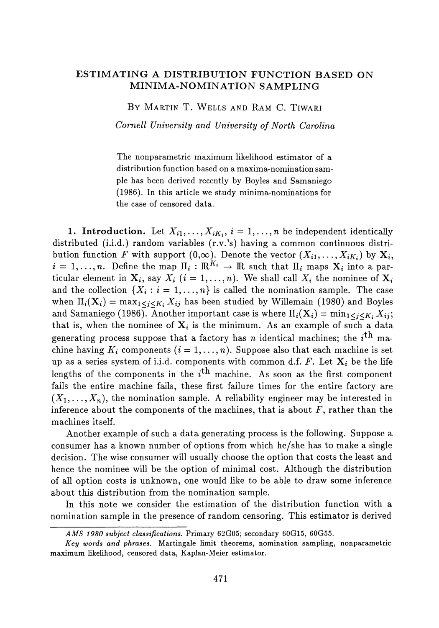## **ESTIMATING A DISTRIBUTION FUNCTION BASED ON MINIMA-NOMINATION SAMPLING**

BY MARTIN T. WELLS AND RAM C. TIWARI

*Cornell University and University of North Carolina*

The nonparametric maximum likelihood estimator of a distribution function based on a maxima-nomination sam ple has been derived recently by Boyles and Samaniego (1986). In this article we study minima-nominations for the case of censored data.

**1.** Introduction. Let  $X_{i1},...,X_{iK_i}, i = 1,...,n$  be independent identically distributed (i.i.d.) random variables (r.v.'s) having a common continuous distri bution function  $F$  with support  $(0,\infty)$ . Denote the vector  $(X_{i1},\ldots,X_{iK_i})$  by  $\mathbf{X}_i$ ,  $i = 1, ..., n$ . Define the map  $\Pi_i : \mathbb{R}^{K_i} \to \mathbb{R}$  such that  $\Pi_i$  maps  $\mathbf{X}_i$  into a par ticular element in  $\mathbf{X}_i$ , say  $X_i$   $(i = 1, ..., n)$ . We shall call  $X_i$  the nominee of  $\mathbf{X}$ and the collection  $\{X_i : i = 1, ..., n\}$  is called the nomination sample. The case when  $\Pi_{\bm i}({\bf X}_{\bm i}) = \max_{1 \leq j \leq K_{\bm i}} X_{ij}$  has been studied by Willemain (1980) and Boyles and Samaniego (1986). Another important case is where  $\Pi_i({\bf X}_i) = \min_{1 \leq j \leq K_i} X_{ij};$ that is, when the nominee of  $\mathbf{X}_i$  is the minimum. As an example of such a data generating process suppose that a factory has *n* identical machines; the *i™* ma chine having  $K_i$  components  $(i = 1, ..., n)$ . Suppose also that each machine is set up as a series system of i.i.d. components with common d.f.  $F.$  Let  $\mathbf{X}_i$  be the life lengths of the components in the *i*<sup>th</sup> machine. As soon as the first component fails the entire machine fails, these first failure times for the entire factory are  $(X_1, \ldots, X_n)$ , the nomination sample. A reliability engineer may be interested in inference about the components of the machines, that is about *F,* rather than the machines itself.

Another example of such a data generating process is the following. Suppose a consumer has a known number of options from which he/she has to make a single decision. The wise consumer will usually choose the option that costs the least and hence the nominee will be the option of minimal cost. Although the distribution of all option costs is unknown, one would like to be able to draw some inference about this distribution from the nomination sample.

In this note we consider the estimation of the distribution function with a nomination sample in the presence of random censoring. This estimator is derived

*AMS 1980 subject classifications.* Primary 62G05; secondary 60G15, 60G55.

*Key words and phrases.* Martingale limit theorems, nomination sampling, nonparametric maximum likelihood, censored data, Kaplan-Meier estimator.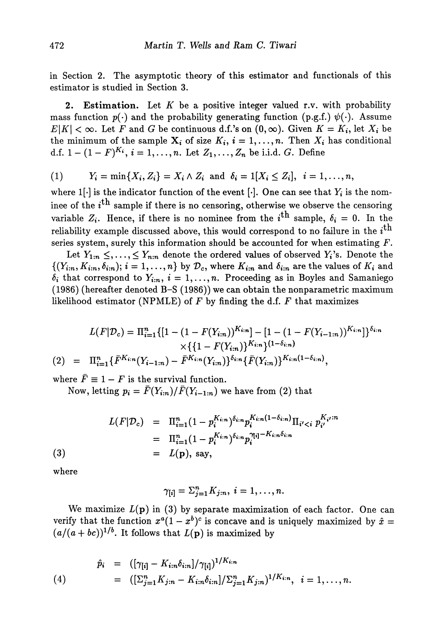in Section 2. The asymptotic theory of this estimator and functionals of this estimator is studied in Section 3.

**2. Estimation.** Let *K* be a positive integer valued r.v. with probability mass function  $p(\cdot)$  and the probability generating function (p.g.f.)  $\psi(\cdot)$ . Assume  $E|K| < \infty$ . Let *F* and *G* be continuous d.f.'s on  $(0, \infty)$ . Given  $K = K_i$ , let  $X_i$  be the minimum of the sample  $X_i$  of size  $K_i$ ,  $i = 1, ..., n$ . Then  $X_i$  has conditional d.f.  $1 - (1 - F)^{K_i}$ ,  $i = 1, ..., n$ . Let  $Z_1, ..., Z_n$  be i.i.d.  $G$ . Define

(1) 
$$
Y_i = \min\{X_i, Z_i\} = X_i \wedge Z_i \text{ and } \delta_i = 1[X_i \leq Z_i], i = 1, ..., n,
$$

where  $1[\cdot]$  is the indicator function of the event  $[\cdot]$ . One can see that  $Y_i$  is the nominee of the  $i<sup>th</sup>$  sample if there is no censoring, otherwise we observe the censoring variable  $Z_i$ . Hence, if there is no nominee from the  $i^{\text{th}}$  sample,  $\delta_i = 0$ . In the reliability example discussed above, this would correspond to no failure in the  $i<sup>th</sup>$ series system, surely this information should be accounted for when estimating *F.*

Let  $Y_{1:n} \leq, \ldots, \leq Y_{n:n}$  denote the ordered values of observed  $Y_i$ 's. Denote the  $\{(Y_{i:n}, K_{i:n}, \delta_{i:n}); i = 1, \ldots, n\}$  by  $\mathcal{D}_c$ , where  $K_{i:n}$  and  $\delta_{i:n}$  are the values of  $K_i$  and  $\delta_i$  that correspond to  $Y_{i:n}$ ,  $i = 1, ..., n$ . Proceeding as in Boyles and Samaniego (1986) (hereafter denoted B-S (1986)) we can obtain the nonparametric maximum likelihood estimator (NPMLE) of *F* by finding the d.f. *F* that maximizes

$$
L(F|\mathcal{D}_c) = \Pi_{i=1}^n \{ [1 - (1 - F(Y_{i:n}))^{K_{i:n}}] - [1 - (1 - F(Y_{i-1:n}))^{K_{i:n}}] \}^{\delta_{i:n}}
$$
  
 
$$
\times \{ \{ 1 - F(Y_{i:n}) \}^{K_{i:n}} \}^{(1 - \delta_{i:n})}
$$
  
(2) =  $\Pi_{i=1}^n \{ \bar{F}^{K_{i:n}}(Y_{i-1:n}) - \bar{F}^{K_{i:n}}(Y_{i:n}) \}^{\delta_{i:n}} \{ \bar{F}(Y_{i:n}) \}^{K_{i:n}(1 - \delta_{i:n})},$ 

where  $\bar{F} \equiv 1 - F$  is the survival function.

Now, letting  $p_i = \bar{F}(Y_{i:n}) / \bar{F}(Y_{i-1:n})$  we have from (2) that

(3)  
\n
$$
L(F|\mathcal{D}_c) = \Pi_{i=1}^n (1 - p_i^{K_{i:n}})^{\delta_{i:n}} p_i^{K_{i:n}(1 - \delta_{i:n})} \Pi_{i' < i} p_{i'}^{K_{i'}:n}
$$
\n
$$
= \Pi_{i=1}^n (1 - p_i^{K_{i:n}})^{\delta_{i:n}} p_i^{\gamma_{[i]} - K_{i:n}\delta_{i:n}}
$$
\n
$$
= L(\mathbf{p}), \text{ say,}
$$

where

$$
\gamma_{[i]}=\Sigma_{j=1}^n K_{j:n}, i=1,\ldots,n.
$$

We maximize  $L(p)$  in (3) by separate maximization of each factor. One can verify that the function  $x^a(1-x^b)^c$  is concave and is uniquely maximized by  $\hat{x} =$  $(a/(a+bc))^{1/b}$ . It follows that  $L(\mathbf{p})$  is maximized by

(4) 
$$
\hat{p}_i = ([\gamma_{[i]} - K_{i:n} \delta_{i:n}]/\gamma_{[i]})^{1/K_{i:n}} = ([\Sigma_{j=1}^n K_{j:n} - K_{i:n} \delta_{i:n}]/\Sigma_{j=1}^n K_{j:n})^{1/K_{i:n}}, \quad i = 1, ..., n.
$$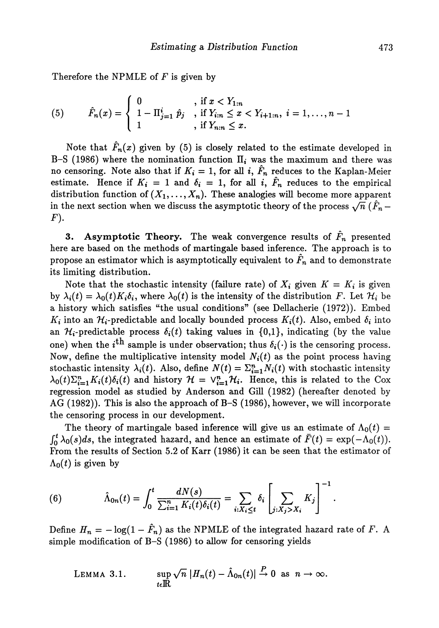Therefore the NPMLE of *F* is given by

(5) 
$$
\hat{F}_n(x) = \begin{cases} 0 & , \text{ if } x < Y_{1:n} \\ 1 - \Pi_{j=1}^i \ \hat{p}_j & , \text{ if } Y_{i:n} \leq x < Y_{i+1:n}, \ i = 1, \dots, n-1 \\ 1 & , \text{ if } Y_{n:n} \leq x. \end{cases}
$$

Note that  $\hat{F}_n(x)$  given by (5) is closely related to the estimate developed in B–S (1986) where the nomination function  $\Pi_i$  was the maximum and there was no censoring. Note also that if  $K_i = 1$ , for all  $i, \hat{F}_n$  reduces to the Kaplan-Meier estimate. Hence if  $K_i = 1$  and  $\delta_i = 1$ , for all i,  $\tilde{F}_n$  reduces to the empirical distribution function of  $(X_1, \dots, X_n).$  These analogies will become more apparent in the next section when we discuss the asymptotic theory of the process  $\sqrt{n}$   $(\hat{F}_n F$ ).

**3.** Asymptotic Theory. The weak convergence results of  $\hat{F}_n$  presented here are based on the methods of martingale based inference. The approach is to propose an estimator which is asymptotically equivalent to  $F_n$  and to demonstrate its limiting distribution.

Note that the stochastic intensity (failure rate) of  $X_i$  given  $K = K_i$  is given by  $\lambda_i(t) = \lambda_0(t) K_i \delta_i$ , where  $\lambda_0(t)$  is the intensity of the distribution *F*. Let  $\mathcal{H}_i$  be a history which satisfies "the usual conditions" (see Dellacherie (1972)). Embed  $K_i$  into an  $\mathcal{H}_i$ -predictable and locally bounded process  $K_i(t)$ . Also, embed  $\delta_i$  into an  $\mathcal{H}_i$ -predictable process  $\delta_i(t)$  taking values in  $\{0,1\}$ , indicating (by the value one) when the *i*<sup>th</sup> sample is under observation; thus  $\delta_i(\cdot)$  is the censoring process. Now, define the multiplicative intensity model  $N_i(t)$  as the point process having stochastic intensity  $\lambda_i(t)$ . Also, define  $N(t) = \sum_{i=1}^n N_i(t)$  with stochastic intensity  $\lambda_0(t)\sum_{i=1}^n K_i(t)\delta_i(t)$  and history  $\mathcal{H} = \vee_{i=1}^n \mathcal{H}_i$ . Hence, this is related to the Cox regression model as studied by Anderson and Gill (1982) (hereafter denoted by AG (1982)). This is also the approach of B-S (1986), however, we will incorporate the censoring process in our development.

The theory of martingale based inference will give us an estimate of  $\Lambda_0(t)$  =  $\int_0^t \lambda_0(s)ds$ , the integrated hazard, and hence an estimate of  $\bar{F}(t) = \exp(-\Lambda_0(t)).$ From the results of Section 5.2 of Karr (1986) it can be seen that the estimator of  $\Lambda_0(t)$  is given by

(6) 
$$
\hat{\Lambda}_{0n}(t) = \int_0^t \frac{dN(s)}{\sum_{i=1}^n K_i(t)\delta_i(t)} = \sum_{i:X_i \leq t} \delta_i \left[ \sum_{j:X_j>X_i} K_j \right]^{-1}
$$

Define  $H_n = -\log(1 - \hat{F}_n)$  as the NPMLE of the integrated hazard rate of F. A simple modification of B-S (1986) to allow for censoring yields

LEMMA 3.1.  $\sup \sqrt{n} |H_n(t) - \hat{\Lambda}_{0n}(t)| \overset{P}{\to} 0 \text{ as } n \to \infty.$  $t \epsilon \mathbf{I} \mathbf{R}$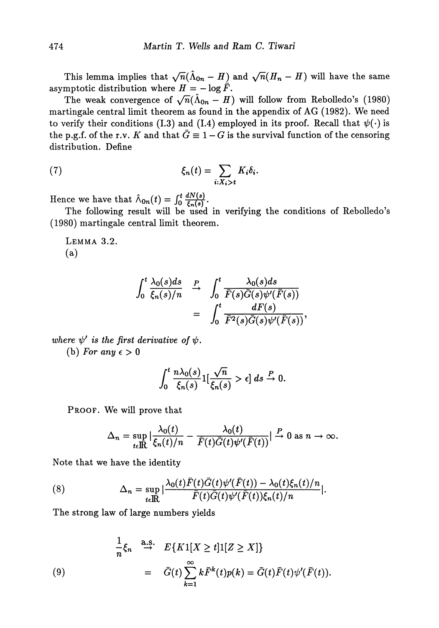This lemma implies that  $\sqrt{n}(\hat{\Lambda}_{0n} - H)$  and  $\sqrt{n}(H_n - H)$  will have the same asymptotic distribution where  $H = -\log \tilde{F}$ .

The weak convergence of  $\sqrt{n}(\hat{\Lambda}_{0n} - H)$  will follow from Rebolledo's (1980) martingale central limit theorem as found in the appendix of AG (1982). We need to verify their conditions (I.3) and (I.4) employed in its proof. Recall that  $\psi(\cdot)$  is the p.g.f. of the r.v. *K* and that  $\bar{G} \equiv 1 - G$  is the survival function of the censoring distribution. Define

(7) 
$$
\xi_n(t) = \sum_{i:X_i>t} K_i \delta_i.
$$

Hence we have that  $\hat{\Lambda}_{0n}(t) = \int_0^t \frac{dN(s)}{\xi_n(s)}$ .

The following result will be used in verifying the conditions of Rebolledo's (1980) martingale central limit theorem.

LEMMA 3.2. (a)

$$
\int_0^t \frac{\lambda_0(s)ds}{\xi_n(s)/n} \xrightarrow{P} \int_0^t \frac{\lambda_0(s)ds}{\overline{F}(s)\overline{G}(s)\psi'(\overline{F}(s))}
$$

$$
= \int_0^t \frac{dF(s)}{\overline{F}^2(s)\overline{G}(s)\psi'(\overline{F}(s))},
$$

 $where \psi'$  is the first derivative of  $\psi$ .

(b) For any  $\epsilon > 0$ 

$$
\int_0^t \frac{n \lambda_0(s)}{\xi_n(s)} 1[\frac{\sqrt{n}}{\xi_n(s)} > \epsilon] ds \stackrel{P}{\to} 0.
$$

PROOF. We will prove that

$$
\Delta_n = \sup_{t \in \mathbb{R}} \left| \frac{\lambda_0(t)}{\xi_n(t)/n} - \frac{\lambda_0(t)}{\overline{F}(t)\overline{G}(t)\psi'(\overline{F}(t))} \right| \xrightarrow{P} 0 \text{ as } n \to \infty.
$$

Note that we have the identity

(8) 
$$
\Delta_n = \sup_{t \in \mathbb{R}} |\frac{\lambda_0(t)\bar{F}(t)\bar{G}(t)\psi'(\bar{F}(t)) - \lambda_0(t)\xi_n(t)/n}{\bar{F}(t)\bar{G}(t)\psi'(\bar{F}(t))\xi_n(t)/n}|.
$$

The strong law of large numbers yields

(9)  
\n
$$
\frac{1}{n}\xi_n \stackrel{\text{a.s.}}{\to} E\{K1[X \ge t]1[Z \ge X]\}
$$
\n
$$
= \bar{G}(t)\sum_{k=1}^{\infty} k\bar{F}^k(t)p(k) = \bar{G}(t)\bar{F}(t)\psi'(\bar{F}(t)).
$$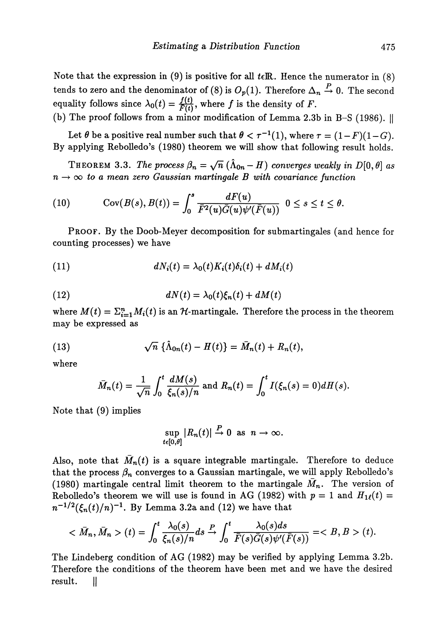Note that the expression in (9) is positive for all *tεM.* Hence the numerator in (8) tends to zero and the denominator of (8) is  $O_p(1)$ . Therefore  $\Delta_n \stackrel{P}{\rightarrow} 0$ . The second equality follows since  $\lambda_0(t) = \frac{f(t)}{F(t)}$ , where f is the density of F.

(b) The proof follows from a minor modification of Lemma 2.3b in B-S (1986).  $\parallel$ 

Let  $\theta$  be a positive real number such that  $\theta < \tau^{-1}(1)$ , where  $\tau = (1 - F)(1 - G)$ . By applying Rebolledo's (1980) theorem we will show that following result holds.

 $\text{THEOREM 3.3.}$  The process  $\beta_n = \sqrt{n} \ (\hat{\Lambda}_{0n} - H)$  converges weakly in  $D[0, \theta]$  as  $n \to \infty$  to a mean zero Gaussian martingale B with covariance function

(10) 
$$
\operatorname{Cov}(B(s),B(t))=\int_0^s\frac{dF(u)}{\bar{F}^2(u)\bar{G}(u)\psi'(\bar{F}(u))}\ \ 0\leq s\leq t\leq \theta.
$$

PROOF. By the Doob-Meyer decomposition for submartingales (and hence for counting processes) we have

(11) 
$$
dN_i(t) = \lambda_0(t)K_i(t)\delta_i(t) + dM_i(t)
$$

(12) 
$$
dN(t) = \lambda_0(t)\xi_n(t) + dM(t)
$$

where  $M(t) = \Sigma^n_{i=1} M_i(t)$  is an  ${\mathcal H}$ -martingale. Therefore the process in the theorem may be expressed as

(13) 
$$
\sqrt{n} \{\hat{\Lambda}_{0n}(t) - H(t)\} = \bar{M}_n(t) + R_n(t),
$$

where

$$
\bar{M}_n(t) = \frac{1}{\sqrt{n}} \int_0^t \frac{dM(s)}{\xi_n(s)/n} \text{ and } R_n(t) = \int_0^t I(\xi_n(s) = 0) dH(s).
$$

Note that (9) implies

$$
\sup_{t\in[0,\theta]}|R_n(t)|\xrightarrow{P}0 \text{ as } n\to\infty.
$$

Also, note that  $\bar{M}_n(t)$  is a square integrable martingale. Therefore to deduce that the process  $\beta_n$  converges to a Gaussian martingale, we will apply Rebolledo's (1980) martingale central limit theorem to the martingale  $M_n$ . The version of Rebolledo's theorem we will use is found in AG (1982) with  $p = 1$  and  $H_1(\ell) =$  $(n)^{-1}.$  By Lemma 3.2a and (12) we have that

$$
\langle \bar{M}_n, \bar{M}_n \rangle (t) = \int_0^t \frac{\lambda_0(s)}{\xi_n(s)/n} ds \xrightarrow{P} \int_0^t \frac{\lambda_0(s) ds}{\bar{F}(s)\bar{G}(s)\psi'(\bar{F}(s))} = \langle B, B \rangle (t).
$$

The Lindeberg condition of AG (1982) may be verified by applying Lemma 3.2b. Therefore the conditions of the theorem have been met and we have the desired result. ||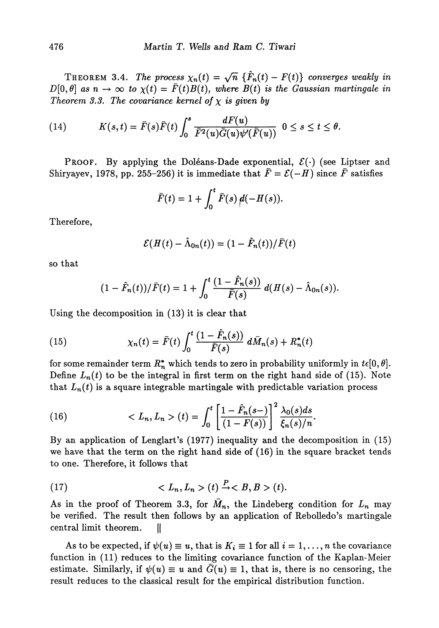THEOREM 3.4. The process  $\chi_n(t) = \sqrt{n} \{ \hat{F}_n(t) - F(t) \}$  converges weakly in  $D[0,\theta]$  as  $n \to \infty$  to  $\chi(t) = \bar{F}(t)B(t)$ , where  $B(t)$  is the Gaussian martingale in *Theorem 3.3. The covariance kernel of*  $\chi$  *is given by* 

(14) 
$$
K(s,t)=\bar{F}(s)\bar{F}(t)\int_0^s\frac{dF(u)}{\bar{F}^2(u)\bar{G}(u)\psi'(\bar{F}(u))}\ \ 0\leq s\leq t\leq \theta.
$$

PROOF. By applying the Doléans-Dade exponential,  $\mathcal{E}(\cdot)$  (see Liptser and Shiryayev, 1978, pp. 255-256) it is immediate that  $\bar{F} = \mathcal{E}(-H)$  since  $\bar{F}$  satisfies

$$
\bar{F}(t) = 1 + \int_0^t \bar{F}(s) \, \rho(-H(s)).
$$

Therefore,

$$
\mathcal{E}(H(t)-\hat{\Lambda}_{0n}(t))=(1-\hat{F}_n(t))/\bar{F}(t)
$$

so that

$$
(1-\hat{F}_n(t))/\bar{F}(t) = 1 + \int_0^t \frac{(1-\hat{F}_n(s))}{\bar{F}(s)} d(H(s) - \hat{\Lambda}_{0n}(s)).
$$

Using the decomposition in (13) it is clear that

(15) 
$$
\chi_n(t) = \bar{F}(t) \int_0^t \frac{(1 - \hat{F}_n(s))}{\bar{F}(s)} d\bar{M}_n(s) + R_n^*(t)
$$

for some remainder term  $R_n^*$  which tends to zero in probability uniformly in  $t\epsilon[0,\theta]$ . Define  $L_n(t)$  to be the integral in first term on the right hand side of (15). Note that  $L_n(t)$  is a square integrable martingale with predictable variation process

(16) 
$$
\langle L_n, L_n \rangle(t) = \int_0^t \left[ \frac{1 - \hat{F}_n(s-)}{(1 - F(s))} \right]^2 \frac{\lambda_0(s)ds}{\xi_n(s)/n}.
$$

By an application of Lenglart's (1977) inequality and the decomposition in (15) we have that the term on the right hand side of (16) in the square bracket tends to one. Therefore, it follows that

$$
(17) \t < L_n, L_n > (t) \xrightarrow{P} B, B > (t).
$$

As in the proof of Theorem 3.3, for  $\bar{M}_n$ , the Lindeberg condition for  $L_n$  may be verified. The result then follows by an application of Rebolledo's martingale central limit theorem. ||

As to be expected, if  $\psi(u) \equiv u$ , that is  $K_i \equiv 1$  for all  $i = 1, \ldots, n$  the covariance function in (11) reduces to the limiting covariance function of the Kaplan-Meier estimate. Similarly, if  $\psi(u) \equiv u$  and  $\bar{G}(u) \equiv 1$ , that is, there is no censoring, the result reduces to the classical result for the empirical distribution function.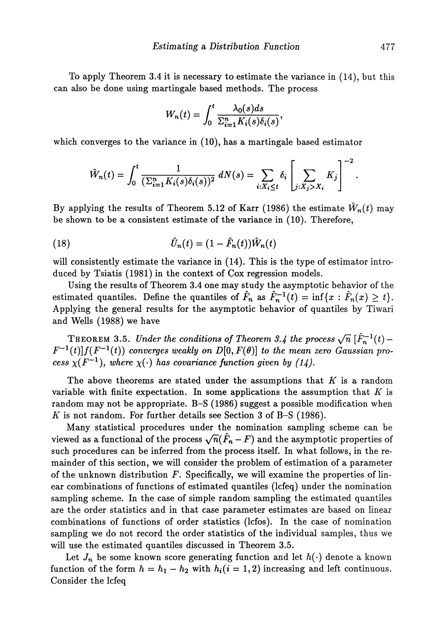To apply Theorem 3.4 it is necessary to estimate the variance in (14), but this can also be done using martingale based methods. The process

$$
W_n(t) = \int_0^t \frac{\lambda_0(s)ds}{\sum_{i=1}^n K_i(s)\delta_i(s)},
$$

which converges to the variance in (10), has a martingale based estimator

$$
\hat{W}_n(t) = \int_0^t \frac{1}{(\sum_{i=1}^n K_i(s)\delta_i(s))^2} dN(s) = \sum_{i:X_i \le t} \delta_i \left[ \sum_{j:X_j>X_i} K_j \right]^{-2}
$$

By applying the results of Theorem 5.12 of Karr (1986) the estimate  $\hat{W}_n(t)$  may be shown to be a consistent estimate of the variance in (10). Therefore,

(18) 
$$
\hat{U}_n(t) = (1 - \hat{F}_n(t))\hat{W}_n(t)
$$

will consistently estimate the variance in (14). This is the type of estimator intro duced by Tsiatis (1981) in the context of Cox regression models.

Using the results of Theorem 3.4 one may study the asymptotic behavior of the estimated quantiles. Define the quantiles of  $\hat{F}_n$  as  $\hat{F}_n^{-1}(t) = \inf\{x : \hat{F}_n(x) \ge t\}.$ Applying the general results for the asymptotic behavior of quantiles by Tiwari and Wells (1988) we have

THEOREM 3.5. Under the conditions of Theorem 3.4 the process  $\sqrt{n}$   $[\hat{F}_n^{-1}(t) F^{-1}(t)]f(F^{-1}(t))$  converges weakly on  $D[0,F(\theta)]$  to the mean zero Gaussian pro*cess*  $\chi(F^{-1})$ , where  $\chi(\cdot)$  has covariance function given by (14).

The above theorems are stated under the assumptions that *K* is a random variable with finite expectation. In some applications the assumption that *K* is random may not be appropriate. B-S (1986) suggest a possible modification when *K* is not random. For further details see Section 3 of B-S (1986).

Many statistical procedures under the nomination sampling scheme can be viewed as a functional of the process  $\sqrt{n}(\hat{F}_n - F)$  and the asymptotic properties of such procedures can be inferred from the process itself. In what follows, in the re mainder of this section, we will consider the problem of estimation of a parameter of the unknown distribution *F.* Specifically, we will examine the properties of lin ear combinations of functions of estimated quantiles (lcfeq) under the nomination sampling scheme. In the case of simple random sampling the estimated quantiles are the order statistics and in that case parameter estimates are based on linear combinations of functions of order statistics (lcfos). In the case of nomination sampling we do not record the order statistics of the individual samples, thus we will use the estimated quantiles discussed in Theorem 3.5.

Let  $J_n$  be some known score generating function and let  $h(\cdot)$  denote a known function of the form  $h = h_1 - h_2$  with  $h_i(i = 1, 2)$  increasing and left continuous. Consider the lcfeq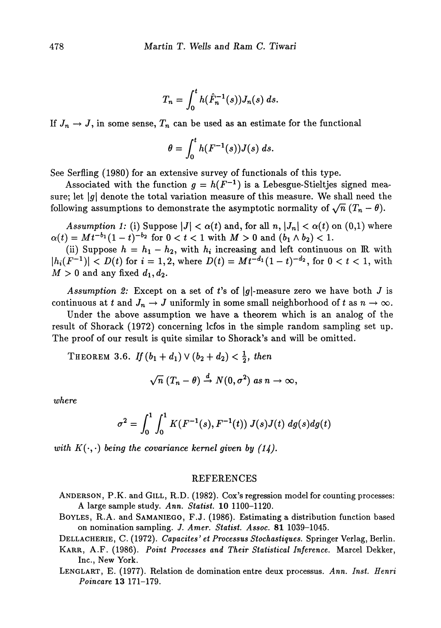$$
T_n = \int_0^t h(\hat{F}_n^{-1}(s)) J_n(s) \, ds.
$$

## If  $J_n \to J,$  in some sense,  $T_n$  can be used as an estimate for the functional

$$
\theta = \int_0^t h(F^{-1}(s))J(s) \ ds.
$$

See Serfling (1980) for an extensive survey of functionals of this type.

Associated with the function  $g = h(F^{-1})$  is a Lebesgue-Stieltjes signed mea sure; let |g| denote the total variation measure of this measure. We shall need the following assumptions to demonstrate the asymptotic normality of  $\sqrt{n}$   $(T_n - \theta)$ .

 $\emph{Assumption 1:}$  (i) Suppose  $|J| < \alpha(t)$  and, for all  $n, |J_n| < \alpha(t)$  on  $(0,1)$  where  $\alpha(t) = M t^{-b_1} (1-t)^{-b_2}$  for  $0 < t < 1$  with  $M > 0$  and  $(b_1 \wedge b_2) < 1$ .

(ii) Suppose  $h = h_1 - h_2$ , with  $h_i$  increasing and left continuous on IR with  $|h_i(F^{-1})| < D(t) \; \textrm{for} \; i=1,2, \, \textrm{where} \; D(t) = M t^{-d_1} (1-t)^{-d_2}, \, \textrm{for} \; 0 < t < 1, \, \textrm{with}$  $M > 0$  and any fixed  $d_1, d_2$ .

*Assumption 2:* Except on a set of t's of  $|g|$ -measure zero we have both *J* is continuous at  $t$  and  $J_n \to J$  uniformly in some small neighborhood of  $t$  as  $n \to \infty$ .

Under the above assumption we have a theorem which is an analog of the result of Shorack (1972) concerning lcfos in the simple random sampling set up. The proof of our result is quite similar to Shorack's and will be omitted.

 $\text{THEOREM 3.6.} \ \textit{If} \ (b_1 + d_1) \lor (b_2 + d_2) < \frac{1}{2}, \ \textit{then}$ 

$$
\sqrt{n} (T_n - \theta) \stackrel{d}{\rightarrow} N(0, \sigma^2) \text{ as } n \rightarrow \infty,
$$

*where*

$$
\sigma^2 = \int_0^1 \int_0^1 K(F^{-1}(s), F^{-1}(t)) J(s)J(t) dg(s)dg(t)
$$

*with*  $K(\cdot, \cdot)$  *being the covariance kernel given by (14)*.

## REFERENCES

- ANDERSON, P.K. and GILL, R.D. (1982). Cox's regression model for counting processes: A large sample study. *Ann. Statist* 10 1100-1120.
- BOYLES, R.A. and SAMANIEGO, F.J. (1986). Estimating a distribution function based on nomination sampling. *J. Amer. Statist. Assoc.* 81 1039-1045.

DELLACHERIE, C. (1972). *Capacites' et Processus Stochastiques.* Springer Verlag, Berlin.

- KARR, A.F. (1986). *Point Processes and Their Statistical Inference.* Marcel Dekker, Inc., New York.
- LENGLART, E. (1977). Relation de domination entre deux processus. *Ann. Inst. Henri Poincare* 13 171-179.